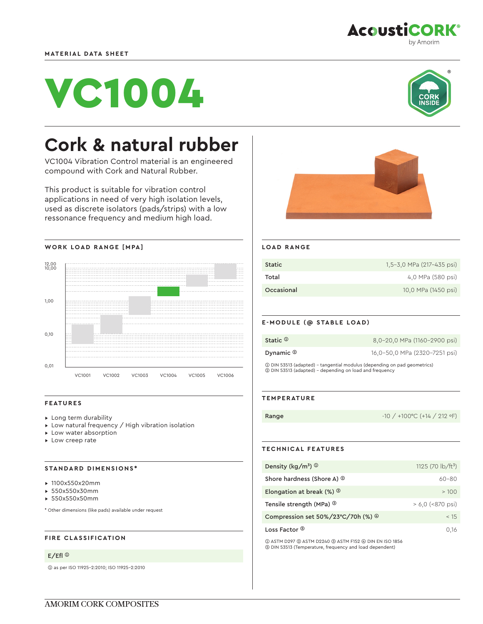

# VC1004



# **Cork & natural rubber**

VC1004 Vibration Control material is an engineered compound with Cork and Natural Rubber.

This product is suitable for vibration control applications in need of very high isolation levels, used as discrete isolators (pads/strips) with a low ressonance frequency and medium high load.



# **FEATURES**

- ▸ Long term durability
- ▸ Low natural frequency / High vibration isolation
- ▸ Low water absorption
- ▸ Low creep rate

#### **STANDARD DIMENSIONS\***

- ▸ 1100x550x20mm
- ▸ 550x550x30mm
- ▸ 550x550x50mm

\* Other dimensions (like pads) available under request

# **FIRE CLASSIFICATION**

#### E/Efl ➀

➀ as per ISO 11925-2:2010; ISO 11925-2:2010



### **LOAD RANGE**

| <b>Static</b> | 1,5-3,0 MPa (217-435 psi) |
|---------------|---------------------------|
| Total         | 4,0 MPa (580 psi)         |
| Occasional    | 10,0 MPa (1450 psi)       |

#### **E-MODULE (@ STABLE LOAD)**

| Static $\mathbb O$                                                         | 8,0-20,0 MPa (1160-2900 psi)  |
|----------------------------------------------------------------------------|-------------------------------|
| Dynamic $\circledcirc$                                                     | 16,0-50,0 MPa (2320-7251 psi) |
| (1) DIN 53513 (adapted) - tangential modulus (depending on pad geometrics) |                               |

➀ DIN 53513 (adapted) - tangential modulus (depending on pad geometrics) ➁ DIN 53513 (adapted) - depending on load and frequency

#### **TEMPERATURE**

Range -10 / +100 °C (+14 / 212 °F)

# **TECHNICAL FEATURES**

| Density ( $\text{kg/m}^3$ ) $\textcircled{1}$         | 1125 (70 $\frac{1}{2}$ b/ft <sup>3</sup> ) |
|-------------------------------------------------------|--------------------------------------------|
| Shore hardness (Shore A) <sup>2</sup>                 | $60 - 80$                                  |
| Elongation at break $(\%)$ <sup>3</sup>               | >100                                       |
| Tensile strength (MPa) <sup>3</sup>                   | $> 6.0$ (<870 psi)                         |
| Compression set $50\%/23^{\circ}C/70h$ (%) $^{\circ}$ | < 15                                       |
| Loss Factor ®                                         | 0.16                                       |

➀ ASTM D297 ➁ ASTM D2240 ➂ ASTM F152 ➃ DIN EN ISO 1856 ➄ DIN 53513 (Temperature, frequency and load dependent)